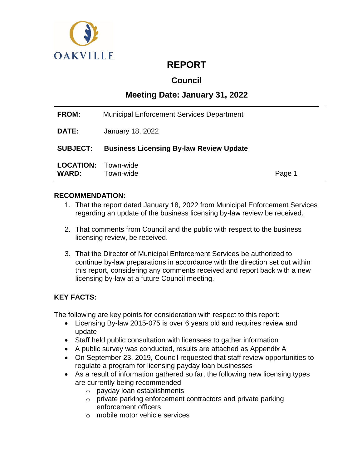

# **REPORT**

# **Council**

# **Meeting Date: January 31, 2022**

| <b>FROM:</b>    | <b>Municipal Enforcement Services Department</b> |  |
|-----------------|--------------------------------------------------|--|
| <b>DATE:</b>    | January 18, 2022                                 |  |
| <b>SUBJECT:</b> | <b>Business Licensing By-law Review Update</b>   |  |
|                 |                                                  |  |

# **RECOMMENDATION:**

- 1. That the report dated January 18, 2022 from Municipal Enforcement Services regarding an update of the business licensing by-law review be received.
- 2. That comments from Council and the public with respect to the business licensing review, be received.
- 3. That the Director of Municipal Enforcement Services be authorized to continue by-law preparations in accordance with the direction set out within this report, considering any comments received and report back with a new licensing by-law at a future Council meeting.

# **KEY FACTS:**

The following are key points for consideration with respect to this report:

- Licensing By-law 2015-075 is over 6 years old and requires review and update
- Staff held public consultation with licensees to gather information
- A public survey was conducted, results are attached as Appendix A
- On September 23, 2019, Council requested that staff review opportunities to regulate a program for licensing payday loan businesses
- As a result of information gathered so far, the following new licensing types are currently being recommended
	- o payday loan establishments
	- o private parking enforcement contractors and private parking enforcement officers
	- o mobile motor vehicle services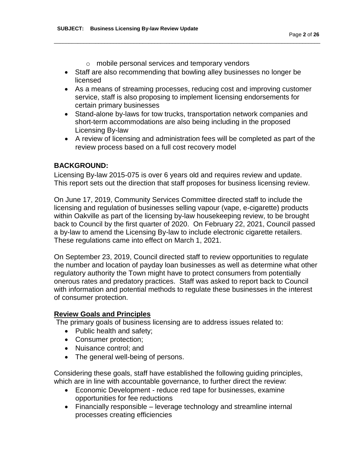- o mobile personal services and temporary vendors
- Staff are also recommending that bowling alley businesses no longer be licensed

\_\_\_\_\_\_\_\_\_\_\_\_\_\_\_\_\_\_\_\_\_\_\_\_\_\_\_\_\_\_\_\_\_\_\_\_\_\_\_\_\_\_\_\_\_\_\_\_\_\_\_\_\_\_\_\_\_\_\_\_\_\_\_\_\_\_\_\_\_\_\_\_\_\_\_\_\_\_\_\_\_\_\_\_\_\_\_\_\_\_

- As a means of streaming processes, reducing cost and improving customer service, staff is also proposing to implement licensing endorsements for certain primary businesses
- Stand-alone by-laws for tow trucks, transportation network companies and short-term accommodations are also being including in the proposed Licensing By-law
- A review of licensing and administration fees will be completed as part of the review process based on a full cost recovery model

### **BACKGROUND:**

Licensing By-law 2015-075 is over 6 years old and requires review and update. This report sets out the direction that staff proposes for business licensing review.

On June 17, 2019, Community Services Committee directed staff to include the licensing and regulation of businesses selling vapour (vape, e-cigarette) products within Oakville as part of the licensing by-law housekeeping review, to be brought back to Council by the first quarter of 2020. On February 22, 2021, Council passed a by-law to amend the Licensing By-law to include electronic cigarette retailers. These regulations came into effect on March 1, 2021.

On September 23, 2019, Council directed staff to review opportunities to regulate the number and location of payday loan businesses as well as determine what other regulatory authority the Town might have to protect consumers from potentially onerous rates and predatory practices. Staff was asked to report back to Council with information and potential methods to regulate these businesses in the interest of consumer protection.

#### **Review Goals and Principles**

The primary goals of business licensing are to address issues related to:

- Public health and safety;
- Consumer protection;
- Nuisance control; and
- The general well-being of persons.

Considering these goals, staff have established the following guiding principles, which are in line with accountable governance, to further direct the review:

- Economic Development reduce red tape for businesses, examine opportunities for fee reductions
- Financially responsible leverage technology and streamline internal processes creating efficiencies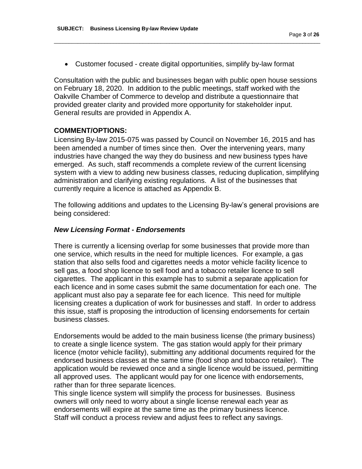Customer focused - create digital opportunities, simplify by-law format

\_\_\_\_\_\_\_\_\_\_\_\_\_\_\_\_\_\_\_\_\_\_\_\_\_\_\_\_\_\_\_\_\_\_\_\_\_\_\_\_\_\_\_\_\_\_\_\_\_\_\_\_\_\_\_\_\_\_\_\_\_\_\_\_\_\_\_\_\_\_\_\_\_\_\_\_\_\_\_\_\_\_\_\_\_\_\_\_\_\_

Consultation with the public and businesses began with public open house sessions on February 18, 2020. In addition to the public meetings, staff worked with the Oakville Chamber of Commerce to develop and distribute a questionnaire that provided greater clarity and provided more opportunity for stakeholder input. General results are provided in Appendix A.

#### **COMMENT/OPTIONS:**

Licensing By-law 2015-075 was passed by Council on November 16, 2015 and has been amended a number of times since then. Over the intervening years, many industries have changed the way they do business and new business types have emerged. As such, staff recommends a complete review of the current licensing system with a view to adding new business classes, reducing duplication, simplifying administration and clarifying existing regulations. A list of the businesses that currently require a licence is attached as Appendix B.

The following additions and updates to the Licensing By-law's general provisions are being considered:

#### *New Licensing Format - Endorsements*

There is currently a licensing overlap for some businesses that provide more than one service, which results in the need for multiple licences. For example, a gas station that also sells food and cigarettes needs a motor vehicle facility licence to sell gas, a food shop licence to sell food and a tobacco retailer licence to sell cigarettes. The applicant in this example has to submit a separate application for each licence and in some cases submit the same documentation for each one. The applicant must also pay a separate fee for each licence. This need for multiple licensing creates a duplication of work for businesses and staff. In order to address this issue, staff is proposing the introduction of licensing endorsements for certain business classes.

Endorsements would be added to the main business license (the primary business) to create a single licence system. The gas station would apply for their primary licence (motor vehicle facility), submitting any additional documents required for the endorsed business classes at the same time (food shop and tobacco retailer). The application would be reviewed once and a single licence would be issued, permitting all approved uses. The applicant would pay for one licence with endorsements, rather than for three separate licences.

This single licence system will simplify the process for businesses. Business owners will only need to worry about a single license renewal each year as endorsements will expire at the same time as the primary business licence. Staff will conduct a process review and adjust fees to reflect any savings.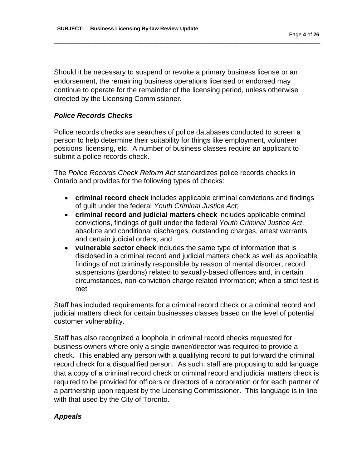Should it be necessary to suspend or revoke a primary business license or an endorsement, the remaining business operations licensed or endorsed may continue to operate for the remainder of the licensing period, unless otherwise directed by the Licensing Commissioner.

\_\_\_\_\_\_\_\_\_\_\_\_\_\_\_\_\_\_\_\_\_\_\_\_\_\_\_\_\_\_\_\_\_\_\_\_\_\_\_\_\_\_\_\_\_\_\_\_\_\_\_\_\_\_\_\_\_\_\_\_\_\_\_\_\_\_\_\_\_\_\_\_\_\_\_\_\_\_\_\_\_\_\_\_\_\_\_\_\_\_

#### *Police Records Checks*

Police records checks are searches of police databases conducted to screen a person to help determine their suitability for things like employment, volunteer positions, licensing, etc. A number of business classes require an applicant to submit a police records check.

The *Police Records Check Reform Act* standardizes police records checks in Ontario and provides for the following types of checks:

- **criminal record check** includes applicable criminal convictions and findings of guilt under the federal *Youth Criminal Justice Act*;
- **criminal record and judicial matters check** includes applicable criminal convictions, findings of guilt under the federal *Youth Criminal Justice Act*, absolute and conditional discharges, outstanding charges, arrest warrants, and certain judicial orders; and
- **vulnerable sector check** includes the same type of information that is disclosed in a criminal record and judicial matters check as well as applicable findings of not criminally responsible by reason of mental disorder, record suspensions (pardons) related to sexually-based offences and, in certain circumstances, non-conviction charge related information; when a strict test is met

Staff has included requirements for a criminal record check or a criminal record and judicial matters check for certain businesses classes based on the level of potential customer vulnerability.

Staff has also recognized a loophole in criminal record checks requested for business owners where only a single owner/director was required to provide a check. This enabled any person with a qualifying record to put forward the criminal record check for a disqualified person. As such, staff are proposing to add language that a copy of a criminal record check or criminal record and judicial matters check is required to be provided for officers or directors of a corporation or for each partner of a partnership upon request by the Licensing Commissioner. This language is in line with that used by the City of Toronto.

#### *Appeals*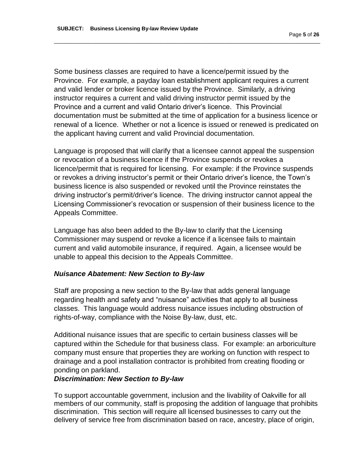Some business classes are required to have a licence/permit issued by the Province. For example, a payday loan establishment applicant requires a current and valid lender or broker licence issued by the Province. Similarly, a driving instructor requires a current and valid driving instructor permit issued by the Province and a current and valid Ontario driver's licence. This Provincial documentation must be submitted at the time of application for a business licence or renewal of a licence. Whether or not a licence is issued or renewed is predicated on the applicant having current and valid Provincial documentation.

\_\_\_\_\_\_\_\_\_\_\_\_\_\_\_\_\_\_\_\_\_\_\_\_\_\_\_\_\_\_\_\_\_\_\_\_\_\_\_\_\_\_\_\_\_\_\_\_\_\_\_\_\_\_\_\_\_\_\_\_\_\_\_\_\_\_\_\_\_\_\_\_\_\_\_\_\_\_\_\_\_\_\_\_\_\_\_\_\_\_

Language is proposed that will clarify that a licensee cannot appeal the suspension or revocation of a business licence if the Province suspends or revokes a licence/permit that is required for licensing. For example: if the Province suspends or revokes a driving instructor's permit or their Ontario driver's licence, the Town's business licence is also suspended or revoked until the Province reinstates the driving instructor's permit/driver's licence. The driving instructor cannot appeal the Licensing Commissioner's revocation or suspension of their business licence to the Appeals Committee.

Language has also been added to the By-law to clarify that the Licensing Commissioner may suspend or revoke a licence if a licensee fails to maintain current and valid automobile insurance, if required. Again, a licensee would be unable to appeal this decision to the Appeals Committee.

#### *Nuisance Abatement: New Section to By-law*

Staff are proposing a new section to the By-law that adds general language regarding health and safety and "nuisance" activities that apply to all business classes. This language would address nuisance issues including obstruction of rights-of-way, compliance with the Noise By-law, dust, etc.

Additional nuisance issues that are specific to certain business classes will be captured within the Schedule for that business class. For example: an arboriculture company must ensure that properties they are working on function with respect to drainage and a pool installation contractor is prohibited from creating flooding or ponding on parkland.

# *Discrimination: New Section to By-law*

To support accountable government, inclusion and the livability of Oakville for all members of our community, staff is proposing the addition of language that prohibits discrimination. This section will require all licensed businesses to carry out the delivery of service free from discrimination based on race, ancestry, place of origin,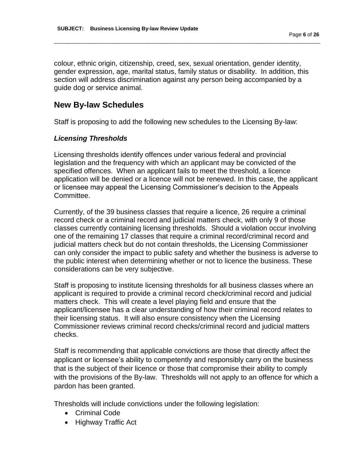colour, ethnic origin, citizenship, creed, sex, sexual orientation, gender identity, gender expression, age, marital status, family status or disability. In addition, this section will address discrimination against any person being accompanied by a guide dog or service animal.

\_\_\_\_\_\_\_\_\_\_\_\_\_\_\_\_\_\_\_\_\_\_\_\_\_\_\_\_\_\_\_\_\_\_\_\_\_\_\_\_\_\_\_\_\_\_\_\_\_\_\_\_\_\_\_\_\_\_\_\_\_\_\_\_\_\_\_\_\_\_\_\_\_\_\_\_\_\_\_\_\_\_\_\_\_\_\_\_\_\_

# **New By-law Schedules**

Staff is proposing to add the following new schedules to the Licensing By-law:

# *Licensing Thresholds*

Licensing thresholds identify offences under various federal and provincial legislation and the frequency with which an applicant may be convicted of the specified offences. When an applicant fails to meet the threshold, a licence application will be denied or a licence will not be renewed. In this case, the applicant or licensee may appeal the Licensing Commissioner's decision to the Appeals Committee.

Currently, of the 39 business classes that require a licence, 26 require a criminal record check or a criminal record and judicial matters check, with only 9 of those classes currently containing licensing thresholds. Should a violation occur involving one of the remaining 17 classes that require a criminal record/criminal record and judicial matters check but do not contain thresholds, the Licensing Commissioner can only consider the impact to public safety and whether the business is adverse to the public interest when determining whether or not to licence the business. These considerations can be very subjective.

Staff is proposing to institute licensing thresholds for all business classes where an applicant is required to provide a criminal record check/criminal record and judicial matters check. This will create a level playing field and ensure that the applicant/licensee has a clear understanding of how their criminal record relates to their licensing status. It will also ensure consistency when the Licensing Commissioner reviews criminal record checks/criminal record and judicial matters checks.

Staff is recommending that applicable convictions are those that directly affect the applicant or licensee's ability to competently and responsibly carry on the business that is the subject of their licence or those that compromise their ability to comply with the provisions of the By-law. Thresholds will not apply to an offence for which a pardon has been granted.

Thresholds will include convictions under the following legislation:

- Criminal Code
- Highway Traffic Act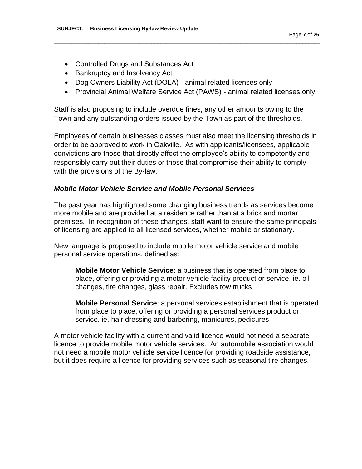- Controlled Drugs and Substances Act
- Bankruptcy and Insolvency Act
- Dog Owners Liability Act (DOLA) animal related licenses only
- Provincial Animal Welfare Service Act (PAWS) animal related licenses only

\_\_\_\_\_\_\_\_\_\_\_\_\_\_\_\_\_\_\_\_\_\_\_\_\_\_\_\_\_\_\_\_\_\_\_\_\_\_\_\_\_\_\_\_\_\_\_\_\_\_\_\_\_\_\_\_\_\_\_\_\_\_\_\_\_\_\_\_\_\_\_\_\_\_\_\_\_\_\_\_\_\_\_\_\_\_\_\_\_\_

Staff is also proposing to include overdue fines, any other amounts owing to the Town and any outstanding orders issued by the Town as part of the thresholds.

Employees of certain businesses classes must also meet the licensing thresholds in order to be approved to work in Oakville. As with applicants/licensees, applicable convictions are those that directly affect the employee's ability to competently and responsibly carry out their duties or those that compromise their ability to comply with the provisions of the By-law.

### *Mobile Motor Vehicle Service and Mobile Personal Services*

The past year has highlighted some changing business trends as services become more mobile and are provided at a residence rather than at a brick and mortar premises. In recognition of these changes, staff want to ensure the same principals of licensing are applied to all licensed services, whether mobile or stationary.

New language is proposed to include mobile motor vehicle service and mobile personal service operations, defined as:

**Mobile Motor Vehicle Service**: a business that is operated from place to place, offering or providing a motor vehicle facility product or service. ie. oil changes, tire changes, glass repair. Excludes tow trucks

**Mobile Personal Service**: a personal services establishment that is operated from place to place, offering or providing a personal services product or service. ie. hair dressing and barbering, manicures, pedicures

A motor vehicle facility with a current and valid licence would not need a separate licence to provide mobile motor vehicle services. An automobile association would not need a mobile motor vehicle service licence for providing roadside assistance, but it does require a licence for providing services such as seasonal tire changes.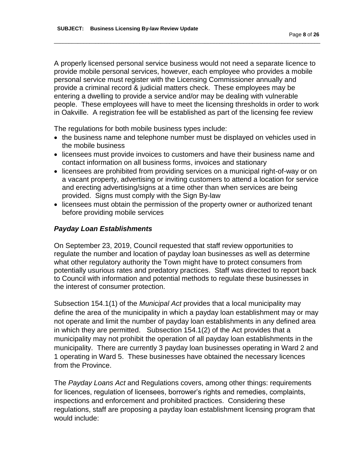A properly licensed personal service business would not need a separate licence to provide mobile personal services, however, each employee who provides a mobile personal service must register with the Licensing Commissioner annually and provide a criminal record & judicial matters check. These employees may be entering a dwelling to provide a service and/or may be dealing with vulnerable people. These employees will have to meet the licensing thresholds in order to work in Oakville. A registration fee will be established as part of the licensing fee review

\_\_\_\_\_\_\_\_\_\_\_\_\_\_\_\_\_\_\_\_\_\_\_\_\_\_\_\_\_\_\_\_\_\_\_\_\_\_\_\_\_\_\_\_\_\_\_\_\_\_\_\_\_\_\_\_\_\_\_\_\_\_\_\_\_\_\_\_\_\_\_\_\_\_\_\_\_\_\_\_\_\_\_\_\_\_\_\_\_\_

The regulations for both mobile business types include:

- the business name and telephone number must be displayed on vehicles used in the mobile business
- licensees must provide invoices to customers and have their business name and contact information on all business forms, invoices and stationary
- licensees are prohibited from providing services on a municipal right-of-way or on a vacant property, advertising or inviting customers to attend a location for service and erecting advertising/signs at a time other than when services are being provided. Signs must comply with the Sign By-law
- licensees must obtain the permission of the property owner or authorized tenant before providing mobile services

# *Payday Loan Establishments*

On September 23, 2019, Council requested that staff review opportunities to regulate the number and location of payday loan businesses as well as determine what other regulatory authority the Town might have to protect consumers from potentially usurious rates and predatory practices. Staff was directed to report back to Council with information and potential methods to regulate these businesses in the interest of consumer protection.

Subsection 154.1(1) of the *Municipal Act* provides that a local municipality may define the area of the municipality in which a payday loan establishment may or may not operate and limit the number of payday loan establishments in any defined area in which they are permitted. Subsection 154.1(2) of the Act provides that a municipality may not prohibit the operation of all payday loan establishments in the municipality. There are currently 3 payday loan businesses operating in Ward 2 and 1 operating in Ward 5. These businesses have obtained the necessary licences from the Province.

The *Payday Loans Act* and Regulations covers, among other things: requirements for licences, regulation of licensees, borrower's rights and remedies, complaints, inspections and enforcement and prohibited practices. Considering these regulations, staff are proposing a payday loan establishment licensing program that would include: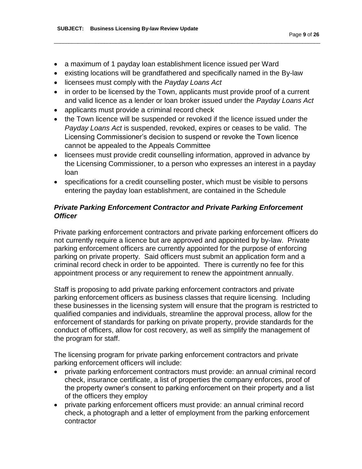- a maximum of 1 payday loan establishment licence issued per Ward
- existing locations will be grandfathered and specifically named in the By-law
- licensees must comply with the *Payday Loans Act*
- in order to be licensed by the Town, applicants must provide proof of a current and valid licence as a lender or loan broker issued under the *Payday Loans Act*

\_\_\_\_\_\_\_\_\_\_\_\_\_\_\_\_\_\_\_\_\_\_\_\_\_\_\_\_\_\_\_\_\_\_\_\_\_\_\_\_\_\_\_\_\_\_\_\_\_\_\_\_\_\_\_\_\_\_\_\_\_\_\_\_\_\_\_\_\_\_\_\_\_\_\_\_\_\_\_\_\_\_\_\_\_\_\_\_\_\_

- applicants must provide a criminal record check
- the Town licence will be suspended or revoked if the licence issued under the *Payday Loans Act* is suspended, revoked, expires or ceases to be valid. The Licensing Commissioner's decision to suspend or revoke the Town licence cannot be appealed to the Appeals Committee
- licensees must provide credit counselling information, approved in advance by the Licensing Commissioner, to a person who expresses an interest in a payday loan
- specifications for a credit counselling poster, which must be visible to persons entering the payday loan establishment, are contained in the Schedule

# *Private Parking Enforcement Contractor and Private Parking Enforcement Officer*

Private parking enforcement contractors and private parking enforcement officers do not currently require a licence but are approved and appointed by by-law. Private parking enforcement officers are currently appointed for the purpose of enforcing parking on private property. Said officers must submit an application form and a criminal record check in order to be appointed. There is currently no fee for this appointment process or any requirement to renew the appointment annually.

Staff is proposing to add private parking enforcement contractors and private parking enforcement officers as business classes that require licensing. Including these businesses in the licensing system will ensure that the program is restricted to qualified companies and individuals, streamline the approval process, allow for the enforcement of standards for parking on private property, provide standards for the conduct of officers, allow for cost recovery, as well as simplify the management of the program for staff.

The licensing program for private parking enforcement contractors and private parking enforcement officers will include:

- private parking enforcement contractors must provide: an annual criminal record check, insurance certificate, a list of properties the company enforces, proof of the property owner's consent to parking enforcement on their property and a list of the officers they employ
- private parking enforcement officers must provide: an annual criminal record check, a photograph and a letter of employment from the parking enforcement contractor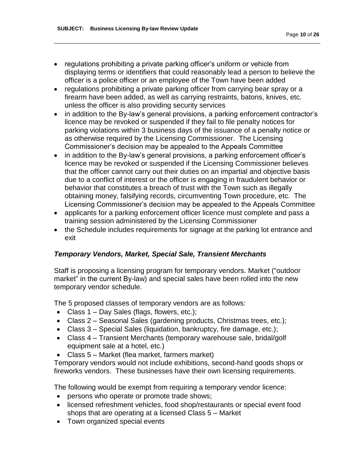• regulations prohibiting a private parking officer's uniform or vehicle from displaying terms or identifiers that could reasonably lead a person to believe the officer is a police officer or an employee of the Town have been added

\_\_\_\_\_\_\_\_\_\_\_\_\_\_\_\_\_\_\_\_\_\_\_\_\_\_\_\_\_\_\_\_\_\_\_\_\_\_\_\_\_\_\_\_\_\_\_\_\_\_\_\_\_\_\_\_\_\_\_\_\_\_\_\_\_\_\_\_\_\_\_\_\_\_\_\_\_\_\_\_\_\_\_\_\_\_\_\_\_\_

- regulations prohibiting a private parking officer from carrying bear spray or a firearm have been added, as well as carrying restraints, batons, knives, etc. unless the officer is also providing security services
- in addition to the By-law's general provisions, a parking enforcement contractor's licence may be revoked or suspended if they fail to file penalty notices for parking violations within 3 business days of the issuance of a penalty notice or as otherwise required by the Licensing Commissioner. The Licensing Commissioner's decision may be appealed to the Appeals Committee
- in addition to the By-law's general provisions, a parking enforcement officer's licence may be revoked or suspended if the Licensing Commissioner believes that the officer cannot carry out their duties on an impartial and objective basis due to a conflict of interest or the officer is engaging in fraudulent behavior or behavior that constitutes a breach of trust with the Town such as illegally obtaining money, falsifying records, circumventing Town procedure, etc. The Licensing Commissioner's decision may be appealed to the Appeals Committee
- applicants for a parking enforcement officer licence must complete and pass a training session administered by the Licensing Commissioner
- the Schedule includes requirements for signage at the parking lot entrance and exit

# *Temporary Vendors, Market, Special Sale, Transient Merchants*

Staff is proposing a licensing program for temporary vendors. Market ("outdoor market" in the current By-law) and special sales have been rolled into the new temporary vendor schedule.

The 5 proposed classes of temporary vendors are as follows:

- Class  $1 Day$  Sales (flags, flowers, etc.);
- Class 2 Seasonal Sales (gardening products, Christmas trees, etc.);
- Class 3 Special Sales (liquidation, bankruptcy, fire damage, etc.);
- Class 4 Transient Merchants (temporary warehouse sale, bridal/golf equipment sale at a hotel, etc.)
- Class 5 Market (flea market, farmers market)

Temporary vendors would not include exhibitions, second-hand goods shops or fireworks vendors. These businesses have their own licensing requirements.

The following would be exempt from requiring a temporary vendor licence:

- persons who operate or promote trade shows;
- licensed refreshment vehicles, food shop/restaurants or special event food shops that are operating at a licensed Class 5 – Market
- Town organized special events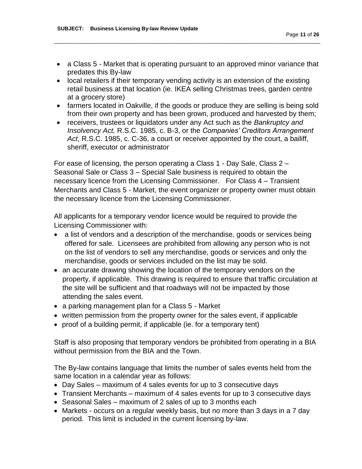a Class 5 - Market that is operating pursuant to an approved minor variance that predates this By-law

\_\_\_\_\_\_\_\_\_\_\_\_\_\_\_\_\_\_\_\_\_\_\_\_\_\_\_\_\_\_\_\_\_\_\_\_\_\_\_\_\_\_\_\_\_\_\_\_\_\_\_\_\_\_\_\_\_\_\_\_\_\_\_\_\_\_\_\_\_\_\_\_\_\_\_\_\_\_\_\_\_\_\_\_\_\_\_\_\_\_

- local retailers if their temporary vending activity is an extension of the existing retail business at that location (ie. IKEA selling Christmas trees, garden centre at a grocery store)
- farmers located in Oakville, if the goods or produce they are selling is being sold from their own property and has been grown, produced and harvested by them;
- receivers, trustees or liquidators under any Act such as the *Bankruptcy and Insolvency Act,* R.S.C. 1985, c. B-3, or the *Companies' Creditors Arrangement Act*, R.S.C. 1985, c. C-36, a court or receiver appointed by the court, a bailiff, sheriff, executor or administrator

For ease of licensing, the person operating a Class 1 - Day Sale, Class 2 – Seasonal Sale or Class 3 – Special Sale business is required to obtain the necessary licence from the Licensing Commissioner. For Class 4 – Transient Merchants and Class 5 - Market, the event organizer or property owner must obtain the necessary licence from the Licensing Commissioner.

All applicants for a temporary vendor licence would be required to provide the Licensing Commissioner with:

- a list of vendors and a description of the merchandise, goods or services being offered for sale. Licensees are prohibited from allowing any person who is not on the list of vendors to sell any merchandise, goods or services and only the merchandise, goods or services included on the list may be sold.
- an accurate drawing showing the location of the temporary vendors on the property, if applicable. This drawing is required to ensure that traffic circulation at the site will be sufficient and that roadways will not be impacted by those attending the sales event.
- a parking management plan for a Class 5 Market
- written permission from the property owner for the sales event, if applicable
- proof of a building permit, if applicable (ie. for a temporary tent)

Staff is also proposing that temporary vendors be prohibited from operating in a BIA without permission from the BIA and the Town.

The By-law contains language that limits the number of sales events held from the same location in a calendar year as follows:

- Day Sales maximum of 4 sales events for up to 3 consecutive days
- Transient Merchants maximum of 4 sales events for up to 3 consecutive days
- Seasonal Sales maximum of 2 sales of up to 3 months each
- Markets occurs on a regular weekly basis, but no more than 3 days in a 7 day period. This limit is included in the current licensing by-law.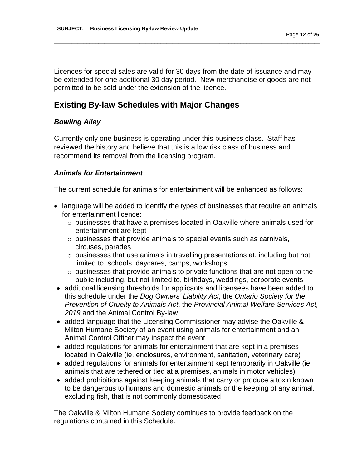Licences for special sales are valid for 30 days from the date of issuance and may be extended for one additional 30 day period. New merchandise or goods are not permitted to be sold under the extension of the licence.

\_\_\_\_\_\_\_\_\_\_\_\_\_\_\_\_\_\_\_\_\_\_\_\_\_\_\_\_\_\_\_\_\_\_\_\_\_\_\_\_\_\_\_\_\_\_\_\_\_\_\_\_\_\_\_\_\_\_\_\_\_\_\_\_\_\_\_\_\_\_\_\_\_\_\_\_\_\_\_\_\_\_\_\_\_\_\_\_\_\_

# **Existing By-law Schedules with Major Changes**

# *Bowling Alley*

Currently only one business is operating under this business class. Staff has reviewed the history and believe that this is a low risk class of business and recommend its removal from the licensing program.

# *Animals for Entertainment*

The current schedule for animals for entertainment will be enhanced as follows:

- language will be added to identify the types of businesses that require an animals for entertainment licence:
	- $\circ$  businesses that have a premises located in Oakville where animals used for entertainment are kept
	- o businesses that provide animals to special events such as carnivals, circuses, parades
	- o businesses that use animals in travelling presentations at, including but not limited to, schools, daycares, camps, workshops
	- $\circ$  businesses that provide animals to private functions that are not open to the public including, but not limited to, birthdays, weddings, corporate events
- additional licensing thresholds for applicants and licensees have been added to this schedule under the *Dog Owners' Liability Act,* the *Ontario Society for the Prevention of Cruelty to Animals Act*, the *Provincial Animal Welfare Services Act, 2019* and the Animal Control By-law
- added language that the Licensing Commissioner may advise the Oakville & Milton Humane Society of an event using animals for entertainment and an Animal Control Officer may inspect the event
- added regulations for animals for entertainment that are kept in a premises located in Oakville (ie. enclosures, environment, sanitation, veterinary care)
- added regulations for animals for entertainment kept temporarily in Oakville (ie. animals that are tethered or tied at a premises, animals in motor vehicles)
- added prohibitions against keeping animals that carry or produce a toxin known to be dangerous to humans and domestic animals or the keeping of any animal, excluding fish, that is not commonly domesticated

The Oakville & Milton Humane Society continues to provide feedback on the regulations contained in this Schedule.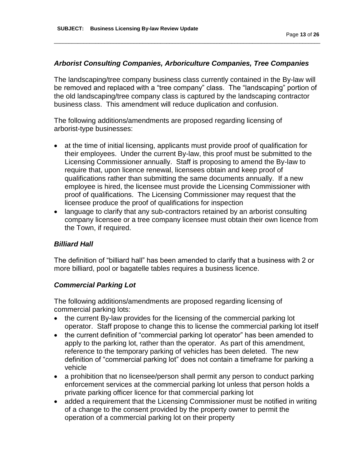#### *Arborist Consulting Companies, Arboriculture Companies, Tree Companies*

\_\_\_\_\_\_\_\_\_\_\_\_\_\_\_\_\_\_\_\_\_\_\_\_\_\_\_\_\_\_\_\_\_\_\_\_\_\_\_\_\_\_\_\_\_\_\_\_\_\_\_\_\_\_\_\_\_\_\_\_\_\_\_\_\_\_\_\_\_\_\_\_\_\_\_\_\_\_\_\_\_\_\_\_\_\_\_\_\_\_

The landscaping/tree company business class currently contained in the By-law will be removed and replaced with a "tree company" class. The "landscaping" portion of the old landscaping/tree company class is captured by the landscaping contractor business class. This amendment will reduce duplication and confusion.

The following additions/amendments are proposed regarding licensing of arborist-type businesses:

- at the time of initial licensing, applicants must provide proof of qualification for their employees. Under the current By-law, this proof must be submitted to the Licensing Commissioner annually. Staff is proposing to amend the By-law to require that, upon licence renewal, licensees obtain and keep proof of qualifications rather than submitting the same documents annually. If a new employee is hired, the licensee must provide the Licensing Commissioner with proof of qualifications. The Licensing Commissioner may request that the licensee produce the proof of qualifications for inspection
- language to clarify that any sub-contractors retained by an arborist consulting company licensee or a tree company licensee must obtain their own licence from the Town, if required.

#### *Billiard Hall*

The definition of "billiard hall" has been amended to clarify that a business with 2 or more billiard, pool or bagatelle tables requires a business licence.

#### *Commercial Parking Lot*

The following additions/amendments are proposed regarding licensing of commercial parking lots:

- the current By-law provides for the licensing of the commercial parking lot operator. Staff propose to change this to license the commercial parking lot itself
- the current definition of "commercial parking lot operator" has been amended to apply to the parking lot, rather than the operator. As part of this amendment, reference to the temporary parking of vehicles has been deleted. The new definition of "commercial parking lot" does not contain a timeframe for parking a vehicle
- a prohibition that no licensee/person shall permit any person to conduct parking enforcement services at the commercial parking lot unless that person holds a private parking officer licence for that commercial parking lot
- added a requirement that the Licensing Commissioner must be notified in writing of a change to the consent provided by the property owner to permit the operation of a commercial parking lot on their property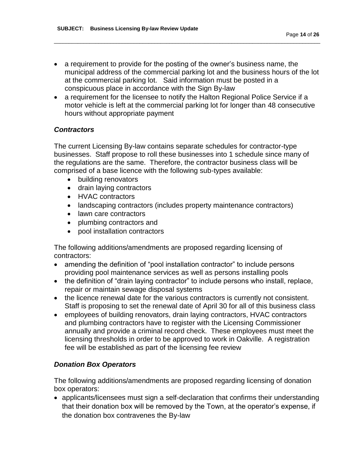a requirement to provide for the posting of the owner's business name, the municipal address of the commercial parking lot and the business hours of the lot at the commercial parking lot. Said information must be posted in a conspicuous place in accordance with the Sign By-law

\_\_\_\_\_\_\_\_\_\_\_\_\_\_\_\_\_\_\_\_\_\_\_\_\_\_\_\_\_\_\_\_\_\_\_\_\_\_\_\_\_\_\_\_\_\_\_\_\_\_\_\_\_\_\_\_\_\_\_\_\_\_\_\_\_\_\_\_\_\_\_\_\_\_\_\_\_\_\_\_\_\_\_\_\_\_\_\_\_\_

• a requirement for the licensee to notify the Halton Regional Police Service if a motor vehicle is left at the commercial parking lot for longer than 48 consecutive hours without appropriate payment

# *Contractors*

The current Licensing By-law contains separate schedules for contractor-type businesses. Staff propose to roll these businesses into 1 schedule since many of the regulations are the same. Therefore, the contractor business class will be comprised of a base licence with the following sub-types available:

- building renovators
- drain laying contractors
- HVAC contractors
- landscaping contractors (includes property maintenance contractors)
- lawn care contractors
- plumbing contractors and
- pool installation contractors

The following additions/amendments are proposed regarding licensing of contractors:

- amending the definition of "pool installation contractor" to include persons providing pool maintenance services as well as persons installing pools
- the definition of "drain laying contractor" to include persons who install, replace, repair or maintain sewage disposal systems
- the licence renewal date for the various contractors is currently not consistent. Staff is proposing to set the renewal date of April 30 for all of this business class
- employees of building renovators, drain laying contractors, HVAC contractors and plumbing contractors have to register with the Licensing Commissioner annually and provide a criminal record check. These employees must meet the licensing thresholds in order to be approved to work in Oakville. A registration fee will be established as part of the licensing fee review

# *Donation Box Operators*

The following additions/amendments are proposed regarding licensing of donation box operators:

 applicants/licensees must sign a self-declaration that confirms their understanding that their donation box will be removed by the Town, at the operator's expense, if the donation box contravenes the By-law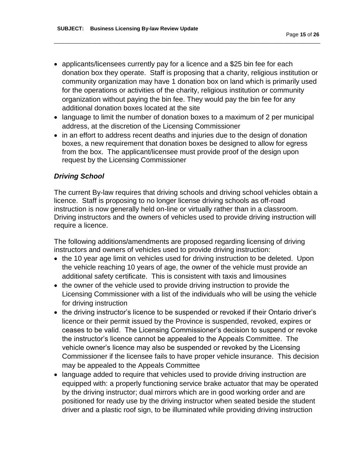applicants/licensees currently pay for a licence and a \$25 bin fee for each donation box they operate. Staff is proposing that a charity, religious institution or community organization may have 1 donation box on land which is primarily used for the operations or activities of the charity, religious institution or community organization without paying the bin fee. They would pay the bin fee for any additional donation boxes located at the site

\_\_\_\_\_\_\_\_\_\_\_\_\_\_\_\_\_\_\_\_\_\_\_\_\_\_\_\_\_\_\_\_\_\_\_\_\_\_\_\_\_\_\_\_\_\_\_\_\_\_\_\_\_\_\_\_\_\_\_\_\_\_\_\_\_\_\_\_\_\_\_\_\_\_\_\_\_\_\_\_\_\_\_\_\_\_\_\_\_\_

- language to limit the number of donation boxes to a maximum of 2 per municipal address, at the discretion of the Licensing Commissioner
- in an effort to address recent deaths and injuries due to the design of donation boxes, a new requirement that donation boxes be designed to allow for egress from the box. The applicant/licensee must provide proof of the design upon request by the Licensing Commissioner

#### *Driving School*

The current By-law requires that driving schools and driving school vehicles obtain a licence. Staff is proposing to no longer license driving schools as off-road instruction is now generally held on-line or virtually rather than in a classroom. Driving instructors and the owners of vehicles used to provide driving instruction will require a licence.

The following additions/amendments are proposed regarding licensing of driving instructors and owners of vehicles used to provide driving instruction:

- the 10 year age limit on vehicles used for driving instruction to be deleted. Upon the vehicle reaching 10 years of age, the owner of the vehicle must provide an additional safety certificate. This is consistent with taxis and limousines
- the owner of the vehicle used to provide driving instruction to provide the Licensing Commissioner with a list of the individuals who will be using the vehicle for driving instruction
- the driving instructor's licence to be suspended or revoked if their Ontario driver's licence or their permit issued by the Province is suspended, revoked, expires or ceases to be valid. The Licensing Commissioner's decision to suspend or revoke the instructor's licence cannot be appealed to the Appeals Committee. The vehicle owner's licence may also be suspended or revoked by the Licensing Commissioner if the licensee fails to have proper vehicle insurance. This decision may be appealed to the Appeals Committee
- language added to require that vehicles used to provide driving instruction are equipped with: a properly functioning service brake actuator that may be operated by the driving instructor; dual mirrors which are in good working order and are positioned for ready use by the driving instructor when seated beside the student driver and a plastic roof sign, to be illuminated while providing driving instruction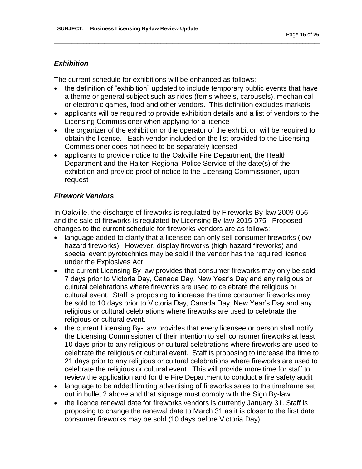# *Exhibition*

The current schedule for exhibitions will be enhanced as follows:

• the definition of "exhibition" updated to include temporary public events that have a theme or general subject such as rides (ferris wheels, carousels), mechanical or electronic games, food and other vendors. This definition excludes markets

\_\_\_\_\_\_\_\_\_\_\_\_\_\_\_\_\_\_\_\_\_\_\_\_\_\_\_\_\_\_\_\_\_\_\_\_\_\_\_\_\_\_\_\_\_\_\_\_\_\_\_\_\_\_\_\_\_\_\_\_\_\_\_\_\_\_\_\_\_\_\_\_\_\_\_\_\_\_\_\_\_\_\_\_\_\_\_\_\_\_

- applicants will be required to provide exhibition details and a list of vendors to the Licensing Commissioner when applying for a licence
- the organizer of the exhibition or the operator of the exhibition will be required to obtain the licence. Each vendor included on the list provided to the Licensing Commissioner does not need to be separately licensed
- applicants to provide notice to the Oakville Fire Department, the Health Department and the Halton Regional Police Service of the date(s) of the exhibition and provide proof of notice to the Licensing Commissioner, upon request

# *Firework Vendors*

In Oakville, the discharge of fireworks is regulated by Fireworks By-law 2009-056 and the sale of fireworks is regulated by Licensing By-law 2015-075. Proposed changes to the current schedule for fireworks vendors are as follows:

- language added to clarify that a licensee can only sell consumer fireworks (lowhazard fireworks). However, display fireworks (high-hazard fireworks) and special event pyrotechnics may be sold if the vendor has the required licence under the Explosives Act
- the current Licensing By-law provides that consumer fireworks may only be sold 7 days prior to Victoria Day, Canada Day, New Year's Day and any religious or cultural celebrations where fireworks are used to celebrate the religious or cultural event. Staff is proposing to increase the time consumer fireworks may be sold to 10 days prior to Victoria Day, Canada Day, New Year's Day and any religious or cultural celebrations where fireworks are used to celebrate the religious or cultural event.
- the current Licensing By-Law provides that every licensee or person shall notify the Licensing Commissioner of their intention to sell consumer fireworks at least 10 days prior to any religious or cultural celebrations where fireworks are used to celebrate the religious or cultural event. Staff is proposing to increase the time to 21 days prior to any religious or cultural celebrations where fireworks are used to celebrate the religious or cultural event. This will provide more time for staff to review the application and for the Fire Department to conduct a fire safety audit
- language to be added limiting advertising of fireworks sales to the timeframe set out in bullet 2 above and that signage must comply with the Sign By-law
- the licence renewal date for fireworks vendors is currently January 31. Staff is proposing to change the renewal date to March 31 as it is closer to the first date consumer fireworks may be sold (10 days before Victoria Day)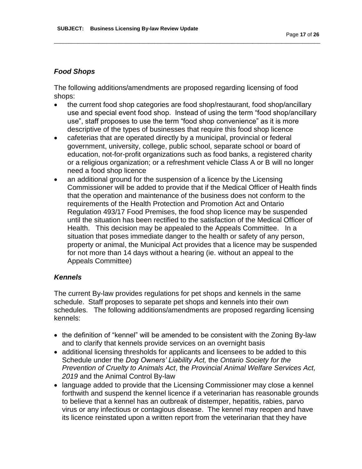### *Food Shops*

The following additions/amendments are proposed regarding licensing of food shops:

 the current food shop categories are food shop/restaurant, food shop/ancillary use and special event food shop. Instead of using the term "food shop/ancillary use", staff proposes to use the term "food shop convenience" as it is more descriptive of the types of businesses that require this food shop licence

\_\_\_\_\_\_\_\_\_\_\_\_\_\_\_\_\_\_\_\_\_\_\_\_\_\_\_\_\_\_\_\_\_\_\_\_\_\_\_\_\_\_\_\_\_\_\_\_\_\_\_\_\_\_\_\_\_\_\_\_\_\_\_\_\_\_\_\_\_\_\_\_\_\_\_\_\_\_\_\_\_\_\_\_\_\_\_\_\_\_

- cafeterias that are operated directly by a municipal, provincial or federal government, university, college, public school, separate school or board of education, not-for-profit organizations such as food banks, a registered charity or a religious organization; or a refreshment vehicle Class A or B will no longer need a food shop licence
- an additional ground for the suspension of a licence by the Licensing Commissioner will be added to provide that if the Medical Officer of Health finds that the operation and maintenance of the business does not conform to the requirements of the Health Protection and Promotion Act and Ontario Regulation 493/17 Food Premises, the food shop licence may be suspended until the situation has been rectified to the satisfaction of the Medical Officer of Health. This decision may be appealed to the Appeals Committee. In a situation that poses immediate danger to the health or safety of any person, property or animal, the Municipal Act provides that a licence may be suspended for not more than 14 days without a hearing (ie. without an appeal to the Appeals Committee)

#### *Kennels*

The current By-law provides regulations for pet shops and kennels in the same schedule. Staff proposes to separate pet shops and kennels into their own schedules. The following additions/amendments are proposed regarding licensing kennels:

- the definition of "kennel" will be amended to be consistent with the Zoning By-law and to clarify that kennels provide services on an overnight basis
- additional licensing thresholds for applicants and licensees to be added to this Schedule under the *Dog Owners' Liability Act,* the *Ontario Society for the Prevention of Cruelty to Animals Act*, the *Provincial Animal Welfare Services Act, 2019* and the Animal Control By-law
- language added to provide that the Licensing Commissioner may close a kennel forthwith and suspend the kennel licence if a veterinarian has reasonable grounds to believe that a kennel has an outbreak of distemper, hepatitis, rabies, parvo virus or any infectious or contagious disease. The kennel may reopen and have its licence reinstated upon a written report from the veterinarian that they have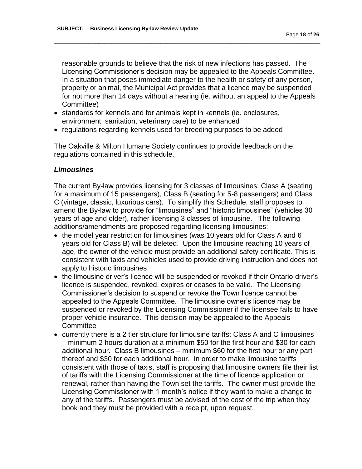reasonable grounds to believe that the risk of new infections has passed. The Licensing Commissioner's decision may be appealed to the Appeals Committee. In a situation that poses immediate danger to the health or safety of any person, property or animal, the Municipal Act provides that a licence may be suspended for not more than 14 days without a hearing (ie. without an appeal to the Appeals Committee)

\_\_\_\_\_\_\_\_\_\_\_\_\_\_\_\_\_\_\_\_\_\_\_\_\_\_\_\_\_\_\_\_\_\_\_\_\_\_\_\_\_\_\_\_\_\_\_\_\_\_\_\_\_\_\_\_\_\_\_\_\_\_\_\_\_\_\_\_\_\_\_\_\_\_\_\_\_\_\_\_\_\_\_\_\_\_\_\_\_\_

- standards for kennels and for animals kept in kennels (ie. enclosures, environment, sanitation, veterinary care) to be enhanced
- regulations regarding kennels used for breeding purposes to be added

The Oakville & Milton Humane Society continues to provide feedback on the regulations contained in this schedule.

#### *Limousines*

The current By-law provides licensing for 3 classes of limousines: Class A (seating for a maximum of 15 passengers), Class B (seating for 5-8 passengers) and Class C (vintage, classic, luxurious cars). To simplify this Schedule, staff proposes to amend the By-law to provide for "limousines" and "historic limousines" (vehicles 30 years of age and older), rather licensing 3 classes of limousine. The following additions/amendments are proposed regarding licensing limousines:

- the model year restriction for limousines (was 10 years old for Class A and 6 years old for Class B) will be deleted. Upon the limousine reaching 10 years of age, the owner of the vehicle must provide an additional safety certificate. This is consistent with taxis and vehicles used to provide driving instruction and does not apply to historic limousines
- the limousine driver's licence will be suspended or revoked if their Ontario driver's licence is suspended, revoked, expires or ceases to be valid. The Licensing Commissioner's decision to suspend or revoke the Town licence cannot be appealed to the Appeals Committee. The limousine owner's licence may be suspended or revoked by the Licensing Commissioner if the licensee fails to have proper vehicle insurance. This decision may be appealed to the Appeals **Committee**
- currently there is a 2 tier structure for limousine tariffs: Class A and C limousines – minimum 2 hours duration at a minimum \$50 for the first hour and \$30 for each additional hour. Class B limousines – minimum \$60 for the first hour or any part thereof and \$30 for each additional hour. In order to make limousine tariffs consistent with those of taxis, staff is proposing that limousine owners file their list of tariffs with the Licensing Commissioner at the time of licence application or renewal, rather than having the Town set the tariffs. The owner must provide the Licensing Commissioner with 1 month's notice if they want to make a change to any of the tariffs. Passengers must be advised of the cost of the trip when they book and they must be provided with a receipt, upon request.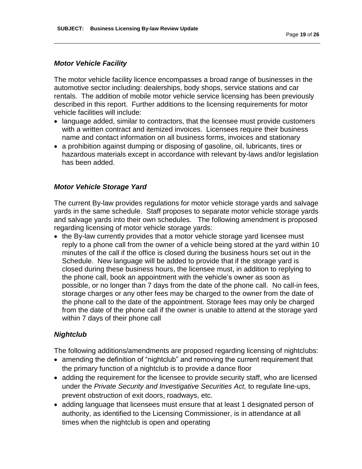#### *Motor Vehicle Facility*

The motor vehicle facility licence encompasses a broad range of businesses in the automotive sector including: dealerships, body shops, service stations and car rentals. The addition of mobile motor vehicle service licensing has been previously described in this report. Further additions to the licensing requirements for motor vehicle facilities will include:

\_\_\_\_\_\_\_\_\_\_\_\_\_\_\_\_\_\_\_\_\_\_\_\_\_\_\_\_\_\_\_\_\_\_\_\_\_\_\_\_\_\_\_\_\_\_\_\_\_\_\_\_\_\_\_\_\_\_\_\_\_\_\_\_\_\_\_\_\_\_\_\_\_\_\_\_\_\_\_\_\_\_\_\_\_\_\_\_\_\_

- language added, similar to contractors, that the licensee must provide customers with a written contract and itemized invoices. Licensees require their business name and contact information on all business forms, invoices and stationary
- a prohibition against dumping or disposing of gasoline, oil, lubricants, tires or hazardous materials except in accordance with relevant by-laws and/or legislation has been added.

### *Motor Vehicle Storage Yard*

The current By-law provides regulations for motor vehicle storage yards and salvage yards in the same schedule. Staff proposes to separate motor vehicle storage yards and salvage yards into their own schedules. The following amendment is proposed regarding licensing of motor vehicle storage yards:

• the By-law currently provides that a motor vehicle storage yard licensee must reply to a phone call from the owner of a vehicle being stored at the yard within 10 minutes of the call if the office is closed during the business hours set out in the Schedule. New language will be added to provide that if the storage yard is closed during these business hours, the licensee must, in addition to replying to the phone call, book an appointment with the vehicle's owner as soon as possible, or no longer than 7 days from the date of the phone call. No call-in fees, storage charges or any other fees may be charged to the owner from the date of the phone call to the date of the appointment. Storage fees may only be charged from the date of the phone call if the owner is unable to attend at the storage yard within 7 days of their phone call

#### *Nightclub*

The following additions/amendments are proposed regarding licensing of nightclubs:

- amending the definition of "nightclub" and removing the current requirement that the primary function of a nightclub is to provide a dance floor
- adding the requirement for the licensee to provide security staff, who are licensed under the *Private Security and Investigative Securities Act,* to regulate line-ups, prevent obstruction of exit doors, roadways, etc.
- adding language that licensees must ensure that at least 1 designated person of authority, as identified to the Licensing Commissioner, is in attendance at all times when the nightclub is open and operating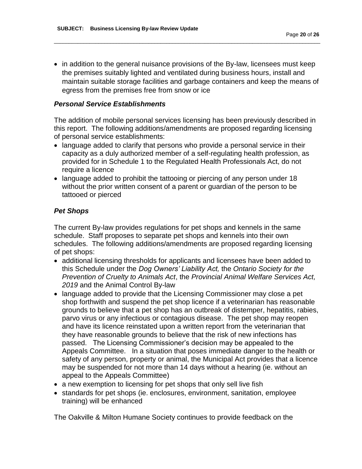• in addition to the general nuisance provisions of the By-law, licensees must keep the premises suitably lighted and ventilated during business hours, install and maintain suitable storage facilities and garbage containers and keep the means of egress from the premises free from snow or ice

\_\_\_\_\_\_\_\_\_\_\_\_\_\_\_\_\_\_\_\_\_\_\_\_\_\_\_\_\_\_\_\_\_\_\_\_\_\_\_\_\_\_\_\_\_\_\_\_\_\_\_\_\_\_\_\_\_\_\_\_\_\_\_\_\_\_\_\_\_\_\_\_\_\_\_\_\_\_\_\_\_\_\_\_\_\_\_\_\_\_

# *Personal Service Establishments*

The addition of mobile personal services licensing has been previously described in this report. The following additions/amendments are proposed regarding licensing of personal service establishments:

- language added to clarify that persons who provide a personal service in their capacity as a duly authorized member of a self-regulating health profession, as provided for in Schedule 1 to the Regulated Health Professionals Act, do not require a licence
- language added to prohibit the tattooing or piercing of any person under 18 without the prior written consent of a parent or guardian of the person to be tattooed or pierced

# *Pet Shops*

The current By-law provides regulations for pet shops and kennels in the same schedule. Staff proposes to separate pet shops and kennels into their own schedules. The following additions/amendments are proposed regarding licensing of pet shops:

- additional licensing thresholds for applicants and licensees have been added to this Schedule under the *Dog Owners' Liability Act,* the *Ontario Society for the Prevention of Cruelty to Animals Act*, the *Provincial Animal Welfare Services Act, 2019* and the Animal Control By-law
- language added to provide that the Licensing Commissioner may close a pet shop forthwith and suspend the pet shop licence if a veterinarian has reasonable grounds to believe that a pet shop has an outbreak of distemper, hepatitis, rabies, parvo virus or any infectious or contagious disease. The pet shop may reopen and have its licence reinstated upon a written report from the veterinarian that they have reasonable grounds to believe that the risk of new infections has passed. The Licensing Commissioner's decision may be appealed to the Appeals Committee. In a situation that poses immediate danger to the health or safety of any person, property or animal, the Municipal Act provides that a licence may be suspended for not more than 14 days without a hearing (ie. without an appeal to the Appeals Committee)
- a new exemption to licensing for pet shops that only sell live fish
- standards for pet shops (ie. enclosures, environment, sanitation, employee training) will be enhanced

The Oakville & Milton Humane Society continues to provide feedback on the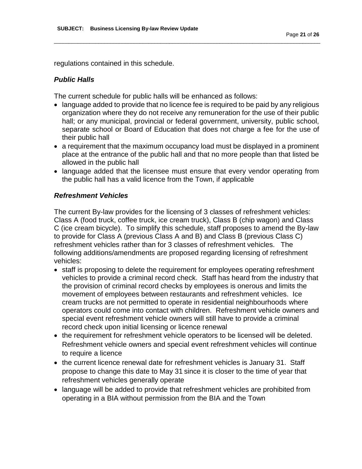regulations contained in this schedule.

# *Public Halls*

The current schedule for public halls will be enhanced as follows:

• language added to provide that no licence fee is required to be paid by any religious organization where they do not receive any remuneration for the use of their public hall; or any municipal, provincial or federal government, university, public school, separate school or Board of Education that does not charge a fee for the use of their public hall

\_\_\_\_\_\_\_\_\_\_\_\_\_\_\_\_\_\_\_\_\_\_\_\_\_\_\_\_\_\_\_\_\_\_\_\_\_\_\_\_\_\_\_\_\_\_\_\_\_\_\_\_\_\_\_\_\_\_\_\_\_\_\_\_\_\_\_\_\_\_\_\_\_\_\_\_\_\_\_\_\_\_\_\_\_\_\_\_\_\_

- a requirement that the maximum occupancy load must be displayed in a prominent place at the entrance of the public hall and that no more people than that listed be allowed in the public hall
- language added that the licensee must ensure that every vendor operating from the public hall has a valid licence from the Town, if applicable

### *Refreshment Vehicles*

The current By-law provides for the licensing of 3 classes of refreshment vehicles: Class A (food truck, coffee truck, ice cream truck), Class B (chip wagon) and Class C (ice cream bicycle). To simplify this schedule, staff proposes to amend the By-law to provide for Class A (previous Class A and B) and Class B (previous Class C) refreshment vehicles rather than for 3 classes of refreshment vehicles. The following additions/amendments are proposed regarding licensing of refreshment vehicles:

- staff is proposing to delete the requirement for employees operating refreshment vehicles to provide a criminal record check. Staff has heard from the industry that the provision of criminal record checks by employees is onerous and limits the movement of employees between restaurants and refreshment vehicles. Ice cream trucks are not permitted to operate in residential neighbourhoods where operators could come into contact with children. Refreshment vehicle owners and special event refreshment vehicle owners will still have to provide a criminal record check upon initial licensing or licence renewal
- the requirement for refreshment vehicle operators to be licensed will be deleted. Refreshment vehicle owners and special event refreshment vehicles will continue to require a licence
- the current licence renewal date for refreshment vehicles is January 31. Staff propose to change this date to May 31 since it is closer to the time of year that refreshment vehicles generally operate
- language will be added to provide that refreshment vehicles are prohibited from operating in a BIA without permission from the BIA and the Town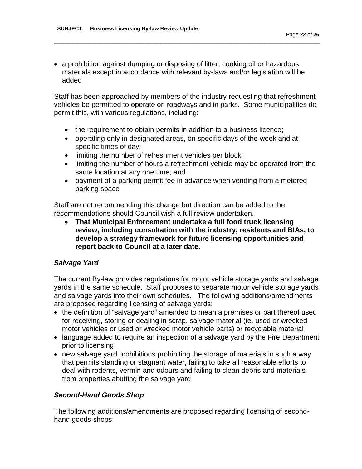a prohibition against dumping or disposing of litter, cooking oil or hazardous materials except in accordance with relevant by-laws and/or legislation will be added

\_\_\_\_\_\_\_\_\_\_\_\_\_\_\_\_\_\_\_\_\_\_\_\_\_\_\_\_\_\_\_\_\_\_\_\_\_\_\_\_\_\_\_\_\_\_\_\_\_\_\_\_\_\_\_\_\_\_\_\_\_\_\_\_\_\_\_\_\_\_\_\_\_\_\_\_\_\_\_\_\_\_\_\_\_\_\_\_\_\_

Staff has been approached by members of the industry requesting that refreshment vehicles be permitted to operate on roadways and in parks. Some municipalities do permit this, with various regulations, including:

- the requirement to obtain permits in addition to a business licence;
- operating only in designated areas, on specific days of the week and at specific times of day;
- limiting the number of refreshment vehicles per block;
- limiting the number of hours a refreshment vehicle may be operated from the same location at any one time; and
- payment of a parking permit fee in advance when vending from a metered parking space

Staff are not recommending this change but direction can be added to the recommendations should Council wish a full review undertaken.

 **That Municipal Enforcement undertake a full food truck licensing review, including consultation with the industry, residents and BIAs, to develop a strategy framework for future licensing opportunities and report back to Council at a later date.**

# *Salvage Yard*

The current By-law provides regulations for motor vehicle storage yards and salvage yards in the same schedule. Staff proposes to separate motor vehicle storage yards and salvage yards into their own schedules. The following additions/amendments are proposed regarding licensing of salvage yards:

- the definition of "salvage yard" amended to mean a premises or part thereof used for receiving, storing or dealing in scrap, salvage material (ie. used or wrecked motor vehicles or used or wrecked motor vehicle parts) or recyclable material
- language added to require an inspection of a salvage yard by the Fire Department prior to licensing
- new salvage yard prohibitions prohibiting the storage of materials in such a way that permits standing or stagnant water, failing to take all reasonable efforts to deal with rodents, vermin and odours and failing to clean debris and materials from properties abutting the salvage yard

# *Second-Hand Goods Shop*

The following additions/amendments are proposed regarding licensing of secondhand goods shops: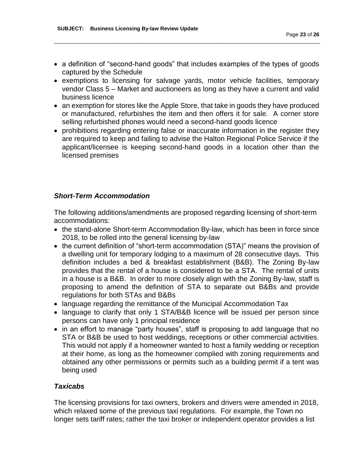a definition of "second-hand goods" that includes examples of the types of goods captured by the Schedule

\_\_\_\_\_\_\_\_\_\_\_\_\_\_\_\_\_\_\_\_\_\_\_\_\_\_\_\_\_\_\_\_\_\_\_\_\_\_\_\_\_\_\_\_\_\_\_\_\_\_\_\_\_\_\_\_\_\_\_\_\_\_\_\_\_\_\_\_\_\_\_\_\_\_\_\_\_\_\_\_\_\_\_\_\_\_\_\_\_\_

- exemptions to licensing for salvage yards, motor vehicle facilities, temporary vendor Class 5 – Market and auctioneers as long as they have a current and valid business licence
- an exemption for stores like the Apple Store, that take in goods they have produced or manufactured, refurbishes the item and then offers it for sale. A corner store selling refurbished phones would need a second-hand goods licence
- prohibitions regarding entering false or inaccurate information in the register they are required to keep and failing to advise the Halton Regional Police Service if the applicant/licensee is keeping second-hand goods in a location other than the licensed premises

### *Short-Term Accommodation*

The following additions/amendments are proposed regarding licensing of short-term accommodations:

- the stand-alone Short-term Accommodation By-law, which has been in force since 2018, to be rolled into the general licensing by-law
- the current definition of "short-term accommodation (STA)" means the provision of a dwelling unit for temporary lodging to a maximum of 28 consecutive days. This definition includes a bed & breakfast establishment (B&B). The Zoning By-law provides that the rental of a house is considered to be a STA. The rental of units in a house is a B&B. In order to more closely align with the Zoning By-law, staff is proposing to amend the definition of STA to separate out B&Bs and provide regulations for both STAs and B&Bs
- language regarding the remittance of the Municipal Accommodation Tax
- language to clarify that only 1 STA/B&B licence will be issued per person since persons can have only 1 principal residence
- in an effort to manage "party houses", staff is proposing to add language that no STA or B&B be used to host weddings, receptions or other commercial activities. This would not apply if a homeowner wanted to host a family wedding or reception at their home, as long as the homeowner complied with zoning requirements and obtained any other permissions or permits such as a building permit if a tent was being used

# *Taxicabs*

The licensing provisions for taxi owners, brokers and drivers were amended in 2018, which relaxed some of the previous taxi regulations. For example, the Town no longer sets tariff rates; rather the taxi broker or independent operator provides a list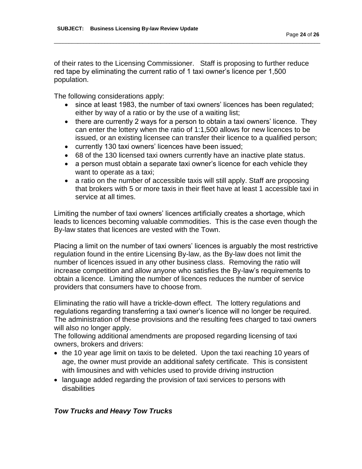of their rates to the Licensing Commissioner. Staff is proposing to further reduce red tape by eliminating the current ratio of 1 taxi owner's licence per 1,500 population.

\_\_\_\_\_\_\_\_\_\_\_\_\_\_\_\_\_\_\_\_\_\_\_\_\_\_\_\_\_\_\_\_\_\_\_\_\_\_\_\_\_\_\_\_\_\_\_\_\_\_\_\_\_\_\_\_\_\_\_\_\_\_\_\_\_\_\_\_\_\_\_\_\_\_\_\_\_\_\_\_\_\_\_\_\_\_\_\_\_\_

The following considerations apply:

- since at least 1983, the number of taxi owners' licences has been regulated; either by way of a ratio or by the use of a waiting list;
- there are currently 2 ways for a person to obtain a taxi owners' licence. They can enter the lottery when the ratio of 1:1,500 allows for new licences to be issued, or an existing licensee can transfer their licence to a qualified person;
- currently 130 taxi owners' licences have been issued;
- 68 of the 130 licensed taxi owners currently have an inactive plate status.
- a person must obtain a separate taxi owner's licence for each vehicle they want to operate as a taxi;
- a ratio on the number of accessible taxis will still apply. Staff are proposing that brokers with 5 or more taxis in their fleet have at least 1 accessible taxi in service at all times.

Limiting the number of taxi owners' licences artificially creates a shortage, which leads to licences becoming valuable commodities. This is the case even though the By-law states that licences are vested with the Town.

Placing a limit on the number of taxi owners' licences is arguably the most restrictive regulation found in the entire Licensing By-law, as the By-law does not limit the number of licences issued in any other business class. Removing the ratio will increase competition and allow anyone who satisfies the By-law's requirements to obtain a licence. Limiting the number of licences reduces the number of service providers that consumers have to choose from.

Eliminating the ratio will have a trickle-down effect. The lottery regulations and regulations regarding transferring a taxi owner's licence will no longer be required. The administration of these provisions and the resulting fees charged to taxi owners will also no longer apply.

The following additional amendments are proposed regarding licensing of taxi owners, brokers and drivers:

- the 10 year age limit on taxis to be deleted. Upon the taxi reaching 10 years of age, the owner must provide an additional safety certificate. This is consistent with limousines and with vehicles used to provide driving instruction
- language added regarding the provision of taxi services to persons with disabilities

#### *Tow Trucks and Heavy Tow Trucks*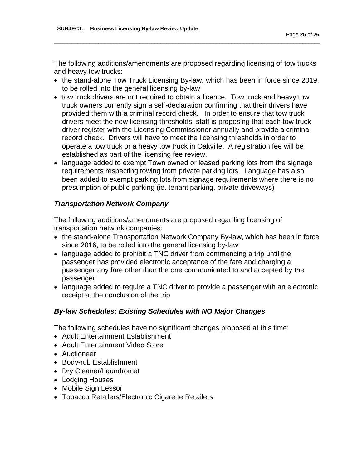The following additions/amendments are proposed regarding licensing of tow trucks and heavy tow trucks:

\_\_\_\_\_\_\_\_\_\_\_\_\_\_\_\_\_\_\_\_\_\_\_\_\_\_\_\_\_\_\_\_\_\_\_\_\_\_\_\_\_\_\_\_\_\_\_\_\_\_\_\_\_\_\_\_\_\_\_\_\_\_\_\_\_\_\_\_\_\_\_\_\_\_\_\_\_\_\_\_\_\_\_\_\_\_\_\_\_\_

- the stand-alone Tow Truck Licensing By-law, which has been in force since 2019, to be rolled into the general licensing by-law
- tow truck drivers are not required to obtain a licence. Tow truck and heavy tow truck owners currently sign a self-declaration confirming that their drivers have provided them with a criminal record check. In order to ensure that tow truck drivers meet the new licensing thresholds, staff is proposing that each tow truck driver register with the Licensing Commissioner annually and provide a criminal record check. Drivers will have to meet the licensing thresholds in order to operate a tow truck or a heavy tow truck in Oakville. A registration fee will be established as part of the licensing fee review.
- language added to exempt Town owned or leased parking lots from the signage requirements respecting towing from private parking lots. Language has also been added to exempt parking lots from signage requirements where there is no presumption of public parking (ie. tenant parking, private driveways)

# *Transportation Network Company*

The following additions/amendments are proposed regarding licensing of transportation network companies:

- the stand-alone Transportation Network Company By-law, which has been in force since 2016, to be rolled into the general licensing by-law
- language added to prohibit a TNC driver from commencing a trip until the passenger has provided electronic acceptance of the fare and charging a passenger any fare other than the one communicated to and accepted by the passenger
- language added to require a TNC driver to provide a passenger with an electronic receipt at the conclusion of the trip

# *By-law Schedules: Existing Schedules with NO Major Changes*

The following schedules have no significant changes proposed at this time:

- Adult Entertainment Establishment
- Adult Entertainment Video Store
- Auctioneer
- Body-rub Establishment
- Dry Cleaner/Laundromat
- Lodging Houses
- Mobile Sign Lessor
- Tobacco Retailers/Electronic Cigarette Retailers